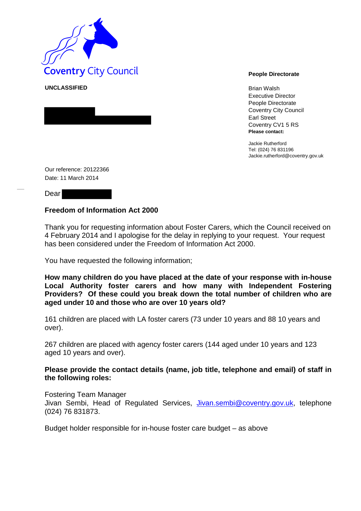

**UNCLASSIFIED** Brian Walsh Executive Director People Directorate Coventry City Council Earl Street Coventry CV1 5 RS **Please contact:** 

> Jackie Rutherford Tel: (024) 76 831196 Jackie.rutherford@coventry.gov.uk

Our reference: 20122366 Date: 11 March 2014

Dear

### **Freedom of Information Act 2000**

Thank you for requesting information about Foster Carers, which the Council received on 4 February 2014 and I apologise for the delay in replying to your request. Your request has been considered under the Freedom of Information Act 2000.

You have requested the following information;

**How many children do you have placed at the date of your response with in-house Local Authority foster carers and how many with Independent Fostering Providers? Of these could you break down the total number of children who are aged under 10 and those who are over 10 years old?**

161 children are placed with LA foster carers (73 under 10 years and 88 10 years and over).

267 children are placed with agency foster carers (144 aged under 10 years and 123 aged 10 years and over).

### **Please provide the contact details (name, job title, telephone and email) of staff in the following roles:**

Fostering Team Manager Jivan Sembi, Head of Regulated Services, [Jivan.sembi@coventry.gov.uk,](mailto:Jivan.sembi@coventry.gov.uk) telephone (024) 76 831873.

Budget holder responsible for in-house foster care budget – as above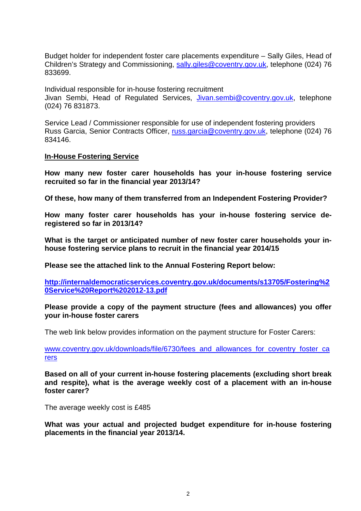Budget holder for independent foster care placements expenditure – Sally Giles, Head of Children's Strategy and Commissioning, [sally.giles@coventry.gov.uk,](mailto:sally.giles@coventry.gov.uk) telephone (024) 76 833699.

Individual responsible for in-house fostering recruitment Jivan Sembi, Head of Regulated Services, [Jivan.sembi@coventry.gov.uk,](mailto:Jivan.sembi@coventry.gov.uk) telephone (024) 76 831873.

Service Lead / Commissioner responsible for use of independent fostering providers Russ Garcia, Senior Contracts Officer, [russ.garcia@coventry.gov.uk,](mailto:russ.garcia@coventry.gov.uk) telephone (024) 76 834146.

#### **In-House Fostering Service**

**How many new foster carer households has your in-house fostering service recruited so far in the financial year 2013/14?**

**Of these, how many of them transferred from an Independent Fostering Provider?**

**How many foster carer households has your in-house fostering service deregistered so far in 2013/14?**

**What is the target or anticipated number of new foster carer households your inhouse fostering service plans to recruit in the financial year 2014/15**

**Please see the attached link to the Annual Fostering Report below:**

**[http://internaldemocraticservices.coventry.gov.uk/documents/s13705/Fostering%2](http://internaldemocraticservices.coventry.gov.uk/documents/s13705/Fostering%20Service%20Report%202012-13.pdf) [0Service%20Report%202012-13.pdf](http://internaldemocraticservices.coventry.gov.uk/documents/s13705/Fostering%20Service%20Report%202012-13.pdf)**

## **Please provide a copy of the payment structure (fees and allowances) you offer your in-house foster carers**

The web link below provides information on the payment structure for Foster Carers:

[www.coventry.gov.uk/downloads/file/6730/fees\\_and\\_allowances\\_for\\_coventry\\_foster\\_ca](http://www.coventry.gov.uk/downloads/file/6730/fees_and_allowances_for_coventry_foster_carers) [rers](http://www.coventry.gov.uk/downloads/file/6730/fees_and_allowances_for_coventry_foster_carers)

**Based on all of your current in-house fostering placements (excluding short break and respite), what is the average weekly cost of a placement with an in-house foster carer?** 

The average weekly cost is £485

**What was your actual and projected budget expenditure for in-house fostering placements in the financial year 2013/14.**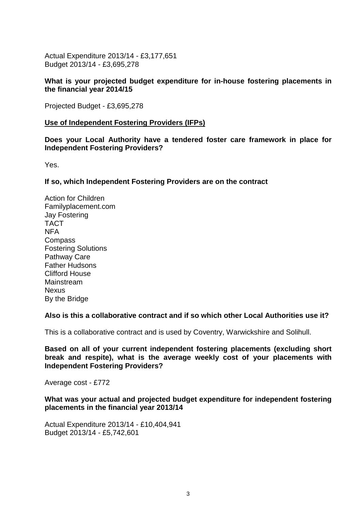Actual Expenditure 2013/14 - £3,177,651 Budget 2013/14 - £3,695,278

## **What is your projected budget expenditure for in-house fostering placements in the financial year 2014/15**

Projected Budget - £3,695,278

### **Use of Independent Fostering Providers (IFPs)**

**Does your Local Authority have a tendered foster care framework in place for Independent Fostering Providers?** 

Yes.

### **If so, which Independent Fostering Providers are on the contract**

Action for Children Familyplacement.com Jay Fostering TACT **NFA** Compass Fostering Solutions Pathway Care Father Hudsons Clifford House Mainstream **Nexus** By the Bridge

#### **Also is this a collaborative contract and if so which other Local Authorities use it?**

This is a collaborative contract and is used by Coventry, Warwickshire and Solihull.

**Based on all of your current independent fostering placements (excluding short break and respite), what is the average weekly cost of your placements with Independent Fostering Providers?** 

Average cost - £772

### **What was your actual and projected budget expenditure for independent fostering placements in the financial year 2013/14**

Actual Expenditure 2013/14 - £10,404,941 Budget 2013/14 - £5,742,601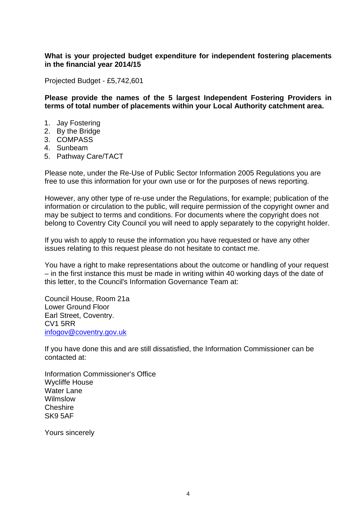# **What is your projected budget expenditure for independent fostering placements in the financial year 2014/15**

Projected Budget - £5,742,601

**Please provide the names of the 5 largest Independent Fostering Providers in terms of total number of placements within your Local Authority catchment area.**

- 1. Jay Fostering
- 2. By the Bridge
- 3. COMPASS
- 4. Sunbeam
- 5. Pathway Care/TACT

Please note, under the Re-Use of Public Sector Information 2005 Regulations you are free to use this information for your own use or for the purposes of news reporting.

However, any other type of re-use under the Regulations, for example; publication of the information or circulation to the public, will require permission of the copyright owner and may be subject to terms and conditions. For documents where the copyright does not belong to Coventry City Council you will need to apply separately to the copyright holder.

If you wish to apply to reuse the information you have requested or have any other issues relating to this request please do not hesitate to contact me.

You have a right to make representations about the outcome or handling of your request – in the first instance this must be made in writing within 40 working days of the date of this letter, to the Council's Information Governance Team at:

Council House, Room 21a Lower Ground Floor Earl Street, Coventry. CV1 5RR [infogov@coventry.gov.uk](mailto:infogov@coventry.gov.uk)

If you have done this and are still dissatisfied, the Information Commissioner can be contacted at:

Information Commissioner's Office Wycliffe House Water Lane Wilmslow **Cheshire** SK9 5AF

Yours sincerely